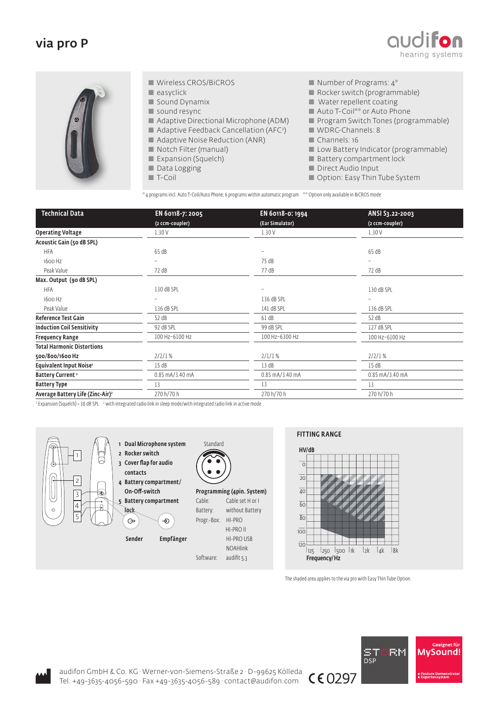## via pro P





- Wireless CROS/BiCROS
- $\blacksquare$  easyclick
- Sound Dynamix
- sound resync
- Adaptive Directional Microphone (ADM)
- **Adaptive Feedback Cancellation (AFC**<sup>2</sup>)
- Adaptive Noise Reduction (ANR)
- Notch Filter (manual)
- Expansion (Squelch)
- Data Logging
- T-Coil
- $\blacksquare$  Number of Programs:  $4^*$
- Rocker switch (programmable)
- Water repellent coating
- Auto T-Coil<sup>\*\*</sup> or Auto Phone
- **Program Switch Tones (programmable)**
- 
- WDRC-Channels: 8
- Channels: 16
- **Low Battery Indicator (programmable)**
- Battery compartment lock
- Direct Audio Input
- Option: Easy Thin Tube System

\* 4 programs incl. Auto T-Coil/Auto Phone; 6 programs within automatic program \*\* Option only available in BiCROS mode

| <b>Technical Data</b>                        | EN 60118-7: 2005  | EN 60118-0: 1994  | ANSI S3.22-2003   |
|----------------------------------------------|-------------------|-------------------|-------------------|
|                                              | (2 ccm-coupler)   | (Ear Simulator)   | (2 ccm-coupler)   |
| <b>Operating Voltage</b>                     | 1.30V             | 1.30V             | 1.30V             |
| Acoustic Gain (50 dB SPL)                    |                   |                   |                   |
| <b>HFA</b>                                   | 65dB              |                   | 65 dB             |
| 1600 Hz                                      |                   | 75 dB             |                   |
| Peak Value                                   | 72 dB             | 77 dB             | 72 dB             |
| Max. Output (90 dB SPL)                      |                   |                   |                   |
| <b>HFA</b>                                   | 130 dB SPL        |                   | 130 dB SPL        |
| 1600 Hz                                      |                   | 136 dB SPL        |                   |
| Peak Value                                   | 136 dB SPL        | 141 dB SPL        | 136 dB SPL        |
| <b>Reference Test Gain</b>                   | 52 dB             | 61 dB             | 52 dB             |
| <b>Induction Coil Sensitivity</b>            | 92 dB SPL         | 99 dB SPL         | 127 dB SPL        |
| <b>Frequency Range</b>                       | 100 Hz-6100 Hz    | 100 Hz-6300 Hz    | 100 Hz-6100 Hz    |
| <b>Total Harmonic Distortions</b>            |                   |                   |                   |
| 500/800/1600 Hz                              | 2/2/1%            | $2/1/1$ %         | 2/2/1%            |
| Equivalent Input Noise <sup>1</sup>          | 15dB              | 13 dB             | 15dB              |
| <b>Battery Current</b> <sup>2</sup>          | $0.85$ mA/3.40 mA | $0.85$ mA/3.40 mA | $0.85$ mA/3.40 mA |
| <b>Battery Type</b>                          | 13                | 13                | 13                |
| Average Battery Life (Zinc-Air) <sup>2</sup> | 270 h/70 h        | 270 h/70 h        | 270 h/70 h        |

 $^1$  Expansion (Squelch) = 38 dB SPL  $^{-2}$  with integrated radio link in sleep mode/with integrated radio link in active mode



## FITTING RANGE



The shaded area applies to the via pro with Easy Thin Tube Option.